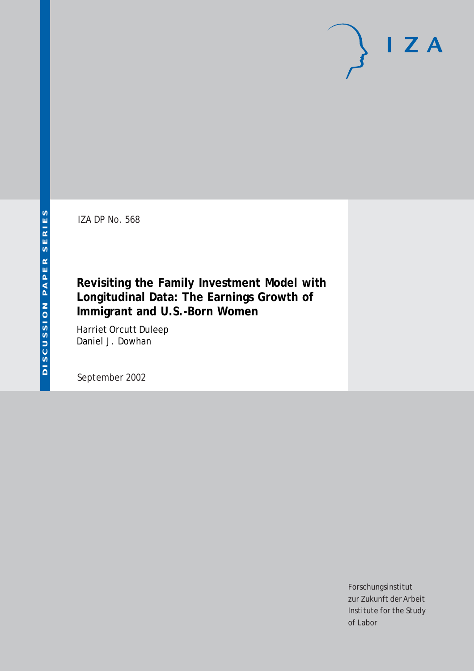IZA DP No. 568

## **Revisiting the Family Investment Model with Longitudinal Data: The Earnings Growth of Immigrant and U.S.-Born Women**

Harriet Orcutt Duleep Daniel J. Dowhan

September 2002

Forschungsinstitut zur Zukunft der Arbeit Institute for the Study of Labor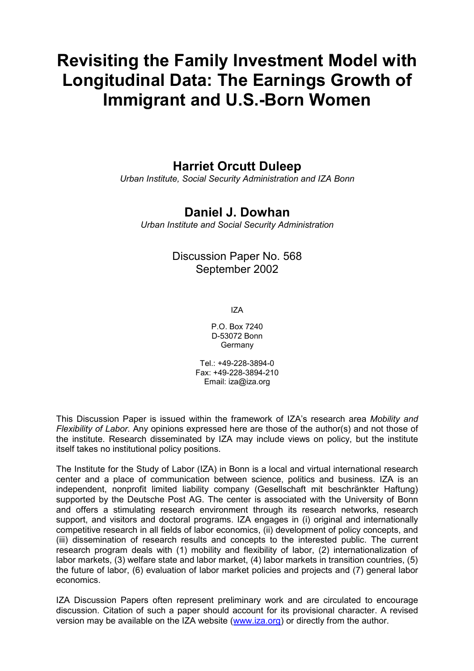# **Revisiting the Family Investment Model with Longitudinal Data: The Earnings Growth of Immigrant and U.S.-Born Women**

## **Harriet Orcutt Duleep**

*Urban Institute, Social Security Administration and IZA Bonn* 

### **Daniel J. Dowhan**

*Urban Institute and Social Security Administration* 

### Discussion Paper No. 568 September 2002

IZA

P.O. Box 7240 D-53072 Bonn Germany

Tel: +49-228-3894-0 Fax: +49-228-3894-210 Email: [iza@iza.org](mailto:iza@iza.org)

This Discussion Paper is issued within the framework of IZA's research area *Mobility and Flexibility of Labor.* Any opinions expressed here are those of the author(s) and not those of the institute. Research disseminated by IZA may include views on policy, but the institute itself takes no institutional policy positions.

The Institute for the Study of Labor (IZA) in Bonn is a local and virtual international research center and a place of communication between science, politics and business. IZA is an independent, nonprofit limited liability company (Gesellschaft mit beschränkter Haftung) supported by the Deutsche Post AG. The center is associated with the University of Bonn and offers a stimulating research environment through its research networks, research support, and visitors and doctoral programs. IZA engages in (i) original and internationally competitive research in all fields of labor economics, (ii) development of policy concepts, and (iii) dissemination of research results and concepts to the interested public. The current research program deals with (1) mobility and flexibility of labor, (2) internationalization of labor markets, (3) welfare state and labor market, (4) labor markets in transition countries, (5) the future of labor, (6) evaluation of labor market policies and projects and (7) general labor economics.

IZA Discussion Papers often represent preliminary work and are circulated to encourage discussion. Citation of such a paper should account for its provisional character. A revised version may be available on the IZA website ([www.iza.org](http://www.iza.org/)) or directly from the author.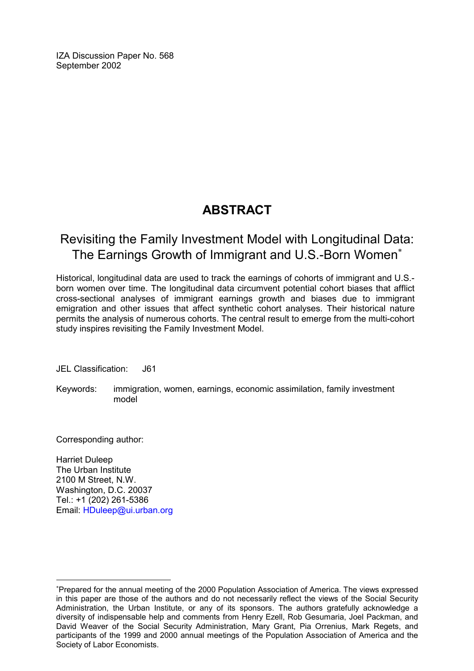IZA Discussion Paper No. 568 September 2002

## **ABSTRACT**

## Revisiting the Family Investment Model with Longitudinal Data: The Earnings Growth of Immigrant and U.S.-Born Women

Historical, longitudinal data are used to track the earnings of cohorts of immigrant and U.S. born women over time. The longitudinal data circumvent potential cohort biases that afflict cross-sectional analyses of immigrant earnings growth and biases due to immigrant emigration and other issues that affect synthetic cohort analyses. Their historical nature permits the analysis of numerous cohorts. The central result to emerge from the multi-cohort study inspires revisiting the Family Investment Model.

JEL Classification: J61

Keywords: immigration, women, earnings, economic assimilation, family investment model

Corresponding author:

 $\overline{a}$ 

Harriet Duleep The Urban Institute 2100 M Street, N.W. Washington, D.C. 20037 Tel.: +1 (202) 261-5386 Email: [HDuleep@ui.urban.org](mailto:HDuleep@ui.urban.org)

<span id="page-2-0"></span>Prepared for the annual meeting of the 2000 Population Association of America. The views expressed in this paper are those of the authors and do not necessarily reflect the views of the Social Security Administration, the Urban Institute, or any of its sponsors. The authors gratefully acknowledge a diversity of indispensable help and comments from Henry Ezell, Rob Gesumaria, Joel Packman, and David Weaver of the Social Security Administration, Mary Grant, Pia Orrenius, Mark Regets, and participants of the 1999 and 2000 annual meetings of the Population Association of America and the Society of Labor Economists.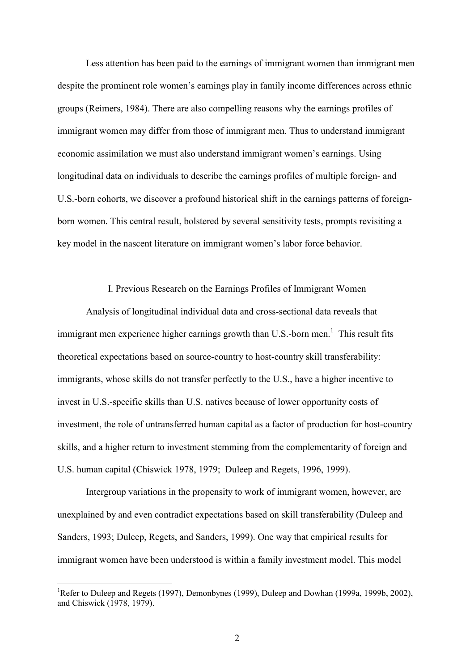Less attention has been paid to the earnings of immigrant women than immigrant men despite the prominent role women's earnings play in family income differences across ethnic groups (Reimers, 1984). There are also compelling reasons why the earnings profiles of immigrant women may differ from those of immigrant men. Thus to understand immigrant economic assimilation we must also understand immigrant women's earnings. Using longitudinal data on individuals to describe the earnings profiles of multiple foreign- and U.S.-born cohorts, we discover a profound historical shift in the earnings patterns of foreignborn women. This central result, bolstered by several sensitivity tests, prompts revisiting a key model in the nascent literature on immigrant women's labor force behavior.

#### I. Previous Research on the Earnings Profiles of Immigrant Women

Analysis of longitudinal individual data and cross-sectional data reveals that immigrant men experience higher earnings growth than U.S.-born men.<sup>1</sup> This result fits theoretical expectations based on source-country to host-country skill transferability: immigrants, whose skills do not transfer perfectly to the U.S., have a higher incentive to invest in U.S.-specific skills than U.S. natives because of lower opportunity costs of investment, the role of untransferred human capital as a factor of production for host-country skills, and a higher return to investment stemming from the complementarity of foreign and U.S. human capital (Chiswick 1978, 1979; Duleep and Regets, 1996, 1999).

Intergroup variations in the propensity to work of immigrant women, however, are unexplained by and even contradict expectations based on skill transferability (Duleep and Sanders, 1993; Duleep, Regets, and Sanders, 1999). One way that empirical results for immigrant women have been understood is within a family investment model. This model

<sup>&</sup>lt;sup>1</sup>Refer to Duleep and Regets (1997), Demonbynes (1999), Duleep and Dowhan (1999a, 1999b, 2002), and Chiswick (1978, 1979).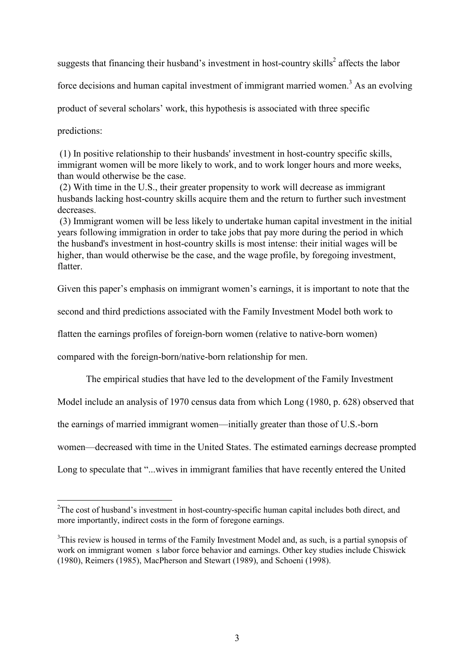suggests that financing their husband's investment in host-country skills<sup>2</sup> affects the labor

force decisions and human capital investment of immigrant married women.<sup>3</sup> As an evolving

product of several scholars' work, this hypothesis is associated with three specific

predictions:

 $\overline{a}$ 

 (1) In positive relationship to their husbands' investment in host-country specific skills, immigrant women will be more likely to work, and to work longer hours and more weeks, than would otherwise be the case.

 (2) With time in the U.S., their greater propensity to work will decrease as immigrant husbands lacking host-country skills acquire them and the return to further such investment decreases.

 (3) Immigrant women will be less likely to undertake human capital investment in the initial years following immigration in order to take jobs that pay more during the period in which the husband's investment in host-country skills is most intense: their initial wages will be higher, than would otherwise be the case, and the wage profile, by foregoing investment, flatter.

Given this paper's emphasis on immigrant women's earnings, it is important to note that the

second and third predictions associated with the Family Investment Model both work to

flatten the earnings profiles of foreign-born women (relative to native-born women)

compared with the foreign-born/native-born relationship for men.

The empirical studies that have led to the development of the Family Investment

Model include an analysis of 1970 census data from which Long (1980, p. 628) observed that

the earnings of married immigrant women—initially greater than those of U.S.-born

women—decreased with time in the United States. The estimated earnings decrease prompted

Long to speculate that "...wives in immigrant families that have recently entered the United

 $2^2$ The cost of husband's investment in host-country-specific human capital includes both direct, and more importantly, indirect costs in the form of foregone earnings.

<sup>&</sup>lt;sup>3</sup>This review is housed in terms of the Family Investment Model and, as such, is a partial synopsis of work on immigrant women s labor force behavior and earnings. Other key studies include Chiswick (1980), Reimers (1985), MacPherson and Stewart (1989), and Schoeni (1998).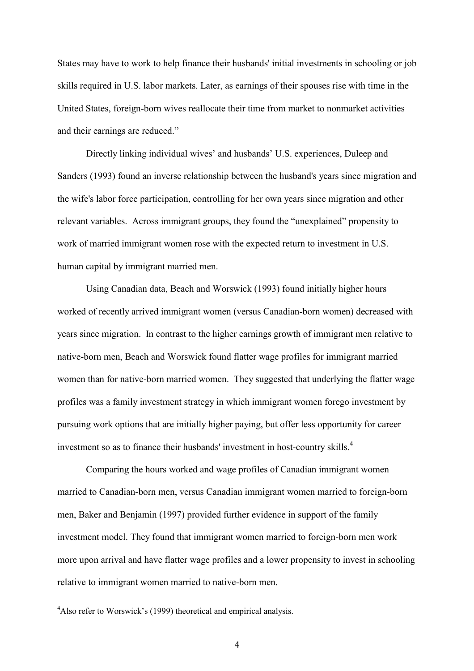States may have to work to help finance their husbands' initial investments in schooling or job skills required in U.S. labor markets. Later, as earnings of their spouses rise with time in the United States, foreign-born wives reallocate their time from market to nonmarket activities and their earnings are reduced."

Directly linking individual wives' and husbands' U.S. experiences, Duleep and Sanders (1993) found an inverse relationship between the husband's years since migration and the wife's labor force participation, controlling for her own years since migration and other relevant variables. Across immigrant groups, they found the "unexplained" propensity to work of married immigrant women rose with the expected return to investment in U.S. human capital by immigrant married men.

Using Canadian data, Beach and Worswick (1993) found initially higher hours worked of recently arrived immigrant women (versus Canadian-born women) decreased with years since migration. In contrast to the higher earnings growth of immigrant men relative to native-born men, Beach and Worswick found flatter wage profiles for immigrant married women than for native-born married women. They suggested that underlying the flatter wage profiles was a family investment strategy in which immigrant women forego investment by pursuing work options that are initially higher paying, but offer less opportunity for career investment so as to finance their husbands' investment in host-country skills.<sup>4</sup>

Comparing the hours worked and wage profiles of Canadian immigrant women married to Canadian-born men, versus Canadian immigrant women married to foreign-born men, Baker and Benjamin (1997) provided further evidence in support of the family investment model. They found that immigrant women married to foreign-born men work more upon arrival and have flatter wage profiles and a lower propensity to invest in schooling relative to immigrant women married to native-born men.

<sup>&</sup>lt;sup>4</sup>Also refer to Worswick's (1999) theoretical and empirical analysis.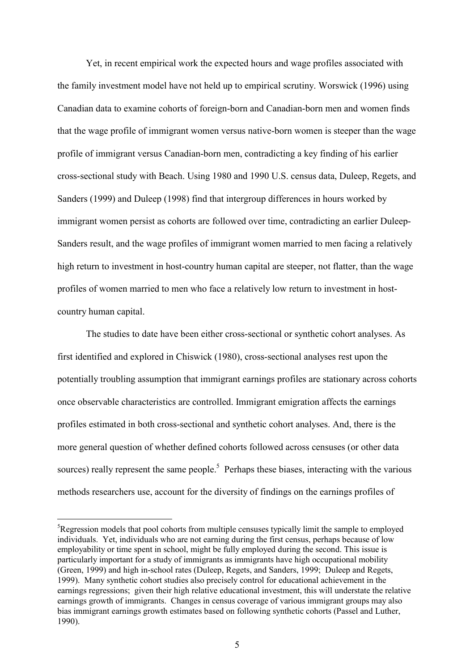Yet, in recent empirical work the expected hours and wage profiles associated with the family investment model have not held up to empirical scrutiny. Worswick (1996) using Canadian data to examine cohorts of foreign-born and Canadian-born men and women finds that the wage profile of immigrant women versus native-born women is steeper than the wage profile of immigrant versus Canadian-born men, contradicting a key finding of his earlier cross-sectional study with Beach. Using 1980 and 1990 U.S. census data, Duleep, Regets, and Sanders (1999) and Duleep (1998) find that intergroup differences in hours worked by immigrant women persist as cohorts are followed over time, contradicting an earlier Duleep-Sanders result, and the wage profiles of immigrant women married to men facing a relatively high return to investment in host-country human capital are steeper, not flatter, than the wage profiles of women married to men who face a relatively low return to investment in hostcountry human capital.

The studies to date have been either cross-sectional or synthetic cohort analyses. As first identified and explored in Chiswick (1980), cross-sectional analyses rest upon the potentially troubling assumption that immigrant earnings profiles are stationary across cohorts once observable characteristics are controlled. Immigrant emigration affects the earnings profiles estimated in both cross-sectional and synthetic cohort analyses. And, there is the more general question of whether defined cohorts followed across censuses (or other data sources) really represent the same people.<sup>5</sup> Perhaps these biases, interacting with the various methods researchers use, account for the diversity of findings on the earnings profiles of

 ${}^{5}$ Regression models that pool cohorts from multiple censuses typically limit the sample to employed individuals. Yet, individuals who are not earning during the first census, perhaps because of low employability or time spent in school, might be fully employed during the second. This issue is particularly important for a study of immigrants as immigrants have high occupational mobility (Green, 1999) and high in-school rates (Duleep, Regets, and Sanders, 1999; Duleep and Regets, 1999). Many synthetic cohort studies also precisely control for educational achievement in the earnings regressions; given their high relative educational investment, this will understate the relative earnings growth of immigrants. Changes in census coverage of various immigrant groups may also bias immigrant earnings growth estimates based on following synthetic cohorts (Passel and Luther, 1990).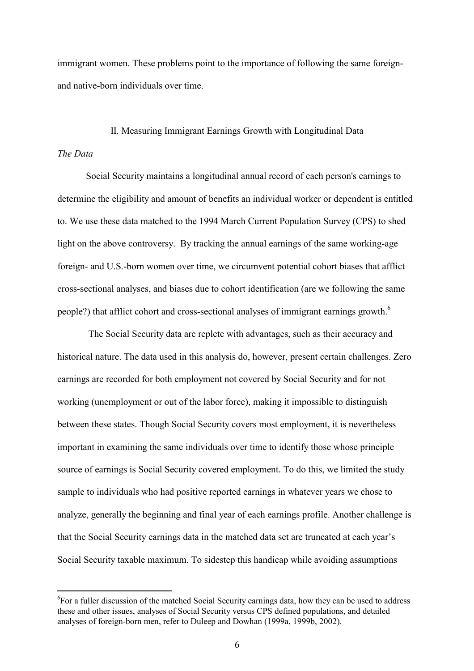immigrant women. These problems point to the importance of following the same foreignand native-born individuals over time.

#### II. Measuring Immigrant Earnings Growth with Longitudinal Data

#### *The Data*

 $\overline{a}$ 

Social Security maintains a longitudinal annual record of each person's earnings to determine the eligibility and amount of benefits an individual worker or dependent is entitled to. We use these data matched to the 1994 March Current Population Survey (CPS) to shed light on the above controversy. By tracking the annual earnings of the same working-age foreign- and U.S.-born women over time, we circumvent potential cohort biases that afflict cross-sectional analyses, and biases due to cohort identification (are we following the same people?) that afflict cohort and cross-sectional analyses of immigrant earnings growth.<sup>6</sup>

 The Social Security data are replete with advantages, such as their accuracy and historical nature. The data used in this analysis do, however, present certain challenges. Zero earnings are recorded for both employment not covered by Social Security and for not working (unemployment or out of the labor force), making it impossible to distinguish between these states. Though Social Security covers most employment, it is nevertheless important in examining the same individuals over time to identify those whose principle source of earnings is Social Security covered employment. To do this, we limited the study sample to individuals who had positive reported earnings in whatever years we chose to analyze, generally the beginning and final year of each earnings profile. Another challenge is that the Social Security earnings data in the matched data set are truncated at each year's Social Security taxable maximum. To sidestep this handicap while avoiding assumptions

<sup>&</sup>lt;sup>6</sup>For a fuller discussion of the matched Social Security earnings data, how they can be used to address these and other issues, analyses of Social Security versus CPS defined populations, and detailed analyses of foreign-born men, refer to Duleep and Dowhan (1999a, 1999b, 2002).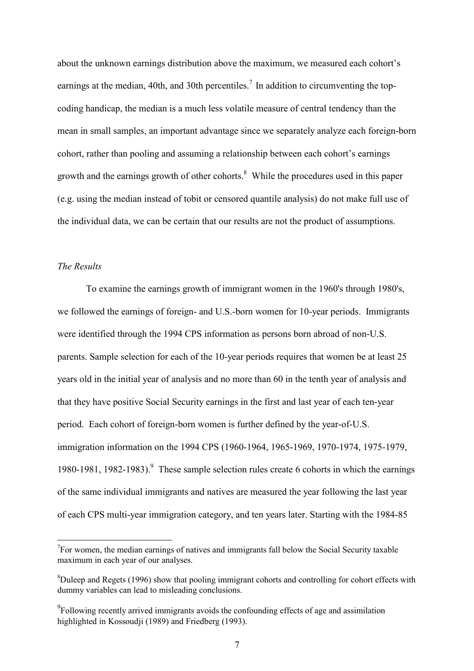about the unknown earnings distribution above the maximum, we measured each cohort's earnings at the median, 40th, and 30th percentiles.<sup>7</sup> In addition to circumventing the topcoding handicap, the median is a much less volatile measure of central tendency than the mean in small samples, an important advantage since we separately analyze each foreign-born cohort, rather than pooling and assuming a relationship between each cohort's earnings growth and the earnings growth of other cohorts.<sup>8</sup> While the procedures used in this paper (e.g. using the median instead of tobit or censored quantile analysis) do not make full use of the individual data, we can be certain that our results are not the product of assumptions.

#### *The Results*

 $\overline{a}$ 

To examine the earnings growth of immigrant women in the 1960's through 1980's, we followed the earnings of foreign- and U.S.-born women for 10-year periods. Immigrants were identified through the 1994 CPS information as persons born abroad of non-U.S. parents. Sample selection for each of the 10-year periods requires that women be at least 25 years old in the initial year of analysis and no more than 60 in the tenth year of analysis and that they have positive Social Security earnings in the first and last year of each ten-year period. Each cohort of foreign-born women is further defined by the year-of-U.S. immigration information on the 1994 CPS (1960-1964, 1965-1969, 1970-1974, 1975-1979, 1980-1981, 1982-1983). <sup>9</sup> These sample selection rules create 6 cohorts in which the earnings of the same individual immigrants and natives are measured the year following the last year of each CPS multi-year immigration category, and ten years later. Starting with the 1984-85

 $T$ For women, the median earnings of natives and immigrants fall below the Social Security taxable maximum in each year of our analyses.

 ${}^{8}$ Duleep and Regets (1996) show that pooling immigrant cohorts and controlling for cohort effects with dummy variables can lead to misleading conclusions.

 $^{9}$ Following recently arrived immigrants avoids the confounding effects of age and assimilation highlighted in Kossoudji (1989) and Friedberg (1993).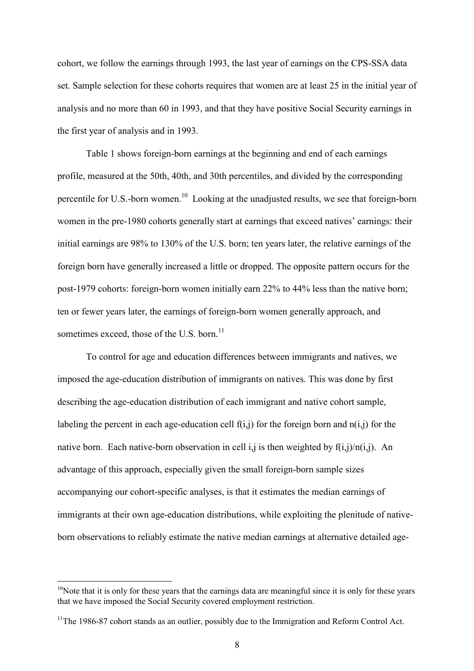cohort, we follow the earnings through 1993, the last year of earnings on the CPS-SSA data set. Sample selection for these cohorts requires that women are at least 25 in the initial year of analysis and no more than 60 in 1993, and that they have positive Social Security earnings in the first year of analysis and in 1993.

Table 1 shows foreign-born earnings at the beginning and end of each earnings profile, measured at the 50th, 40th, and 30th percentiles, and divided by the corresponding percentile for U.S.-born women.<sup>10</sup> Looking at the unadjusted results, we see that foreign-born women in the pre-1980 cohorts generally start at earnings that exceed natives' earnings: their initial earnings are 98% to 130% of the U.S. born; ten years later, the relative earnings of the foreign born have generally increased a little or dropped. The opposite pattern occurs for the post-1979 cohorts: foreign-born women initially earn 22% to 44% less than the native born; ten or fewer years later, the earnings of foreign-born women generally approach, and sometimes exceed, those of the U.S. born.<sup>11</sup>

To control for age and education differences between immigrants and natives, we imposed the age-education distribution of immigrants on natives. This was done by first describing the age-education distribution of each immigrant and native cohort sample, labeling the percent in each age-education cell  $f(i,j)$  for the foreign born and  $n(i,j)$  for the native born. Each native-born observation in cell i,j is then weighted by  $f(i,j)/n(i,j)$ . An advantage of this approach, especially given the small foreign-born sample sizes accompanying our cohort-specific analyses, is that it estimates the median earnings of immigrants at their own age-education distributions, while exploiting the plenitude of nativeborn observations to reliably estimate the native median earnings at alternative detailed age-

 $10$ Note that it is only for these years that the earnings data are meaningful since it is only for these years that we have imposed the Social Security covered employment restriction.

 $11$ The 1986-87 cohort stands as an outlier, possibly due to the Immigration and Reform Control Act.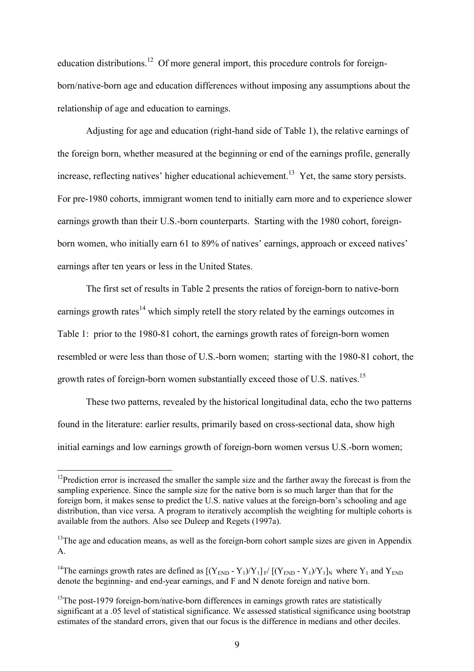education distributions.<sup>12</sup> Of more general import, this procedure controls for foreignborn/native-born age and education differences without imposing any assumptions about the relationship of age and education to earnings.

Adjusting for age and education (right-hand side of Table 1), the relative earnings of the foreign born, whether measured at the beginning or end of the earnings profile, generally increase, reflecting natives' higher educational achievement.<sup>13</sup> Yet, the same story persists. For pre-1980 cohorts, immigrant women tend to initially earn more and to experience slower earnings growth than their U.S.-born counterparts. Starting with the 1980 cohort, foreignborn women, who initially earn 61 to 89% of natives' earnings, approach or exceed natives' earnings after ten years or less in the United States.

The first set of results in Table 2 presents the ratios of foreign-born to native-born earnings growth rates<sup>14</sup> which simply retell the story related by the earnings outcomes in Table 1: prior to the 1980-81 cohort, the earnings growth rates of foreign-born women resembled or were less than those of U.S.-born women; starting with the 1980-81 cohort, the growth rates of foreign-born women substantially exceed those of U.S. natives.<sup>15</sup>

These two patterns, revealed by the historical longitudinal data, echo the two patterns found in the literature: earlier results, primarily based on cross-sectional data, show high initial earnings and low earnings growth of foreign-born women versus U.S.-born women;

 $12$ Prediction error is increased the smaller the sample size and the farther away the forecast is from the sampling experience. Since the sample size for the native born is so much larger than that for the foreign born, it makes sense to predict the U.S. native values at the foreign-born's schooling and age distribution, than vice versa. A program to iteratively accomplish the weighting for multiple cohorts is available from the authors. Also see Duleep and Regets (1997a).

 $13$ <sup>13</sup>The age and education means, as well as the foreign-born cohort sample sizes are given in Appendix A.

<sup>&</sup>lt;sup>14</sup>The earnings growth rates are defined as  $[(Y_{END} - Y_1)/Y_1]_{F} / [(Y_{END} - Y_1)/Y_1]_{N}$  where  $Y_1$  and  $Y_{END}$ denote the beginning- and end-year earnings, and F and N denote foreign and native born.

 $15$ The post-1979 foreign-born/native-born differences in earnings growth rates are statistically significant at a .05 level of statistical significance. We assessed statistical significance using bootstrap estimates of the standard errors, given that our focus is the difference in medians and other deciles.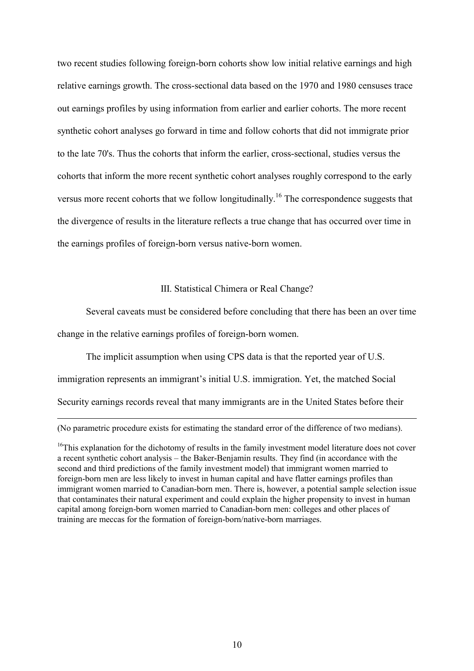two recent studies following foreign-born cohorts show low initial relative earnings and high relative earnings growth. The cross-sectional data based on the 1970 and 1980 censuses trace out earnings profiles by using information from earlier and earlier cohorts. The more recent synthetic cohort analyses go forward in time and follow cohorts that did not immigrate prior to the late 70's. Thus the cohorts that inform the earlier, cross-sectional, studies versus the cohorts that inform the more recent synthetic cohort analyses roughly correspond to the early versus more recent cohorts that we follow longitudinally.<sup>16</sup> The correspondence suggests that the divergence of results in the literature reflects a true change that has occurred over time in the earnings profiles of foreign-born versus native-born women.

#### III. Statistical Chimera or Real Change?

Several caveats must be considered before concluding that there has been an over time change in the relative earnings profiles of foreign-born women.

The implicit assumption when using CPS data is that the reported year of U.S. immigration represents an immigrant's initial U.S. immigration. Yet, the matched Social

Security earnings records reveal that many immigrants are in the United States before their

(No parametric procedure exists for estimating the standard error of the difference of two medians).

<sup>&</sup>lt;sup>16</sup>This explanation for the dichotomy of results in the family investment model literature does not cover a recent synthetic cohort analysis – the Baker-Benjamin results. They find (in accordance with the second and third predictions of the family investment model) that immigrant women married to foreign-born men are less likely to invest in human capital and have flatter earnings profiles than immigrant women married to Canadian-born men. There is, however, a potential sample selection issue that contaminates their natural experiment and could explain the higher propensity to invest in human capital among foreign-born women married to Canadian-born men: colleges and other places of training are meccas for the formation of foreign-born/native-born marriages.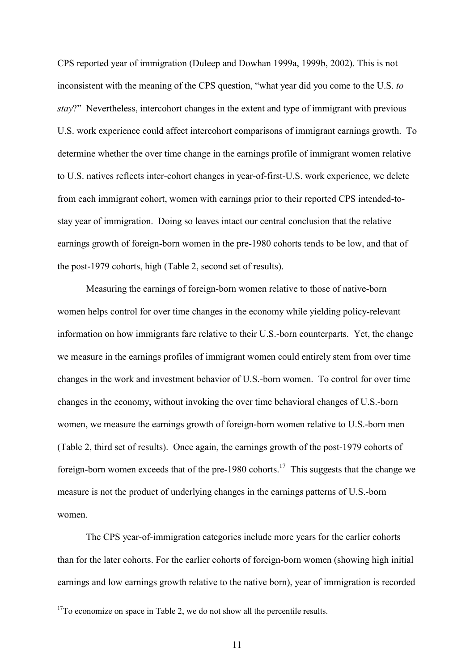CPS reported year of immigration (Duleep and Dowhan 1999a, 1999b, 2002). This is not inconsistent with the meaning of the CPS question, "what year did you come to the U.S. *to stay*?" Nevertheless, intercohort changes in the extent and type of immigrant with previous U.S. work experience could affect intercohort comparisons of immigrant earnings growth. To determine whether the over time change in the earnings profile of immigrant women relative to U.S. natives reflects inter-cohort changes in year-of-first-U.S. work experience, we delete from each immigrant cohort, women with earnings prior to their reported CPS intended-tostay year of immigration. Doing so leaves intact our central conclusion that the relative earnings growth of foreign-born women in the pre-1980 cohorts tends to be low, and that of the post-1979 cohorts, high (Table 2, second set of results).

Measuring the earnings of foreign-born women relative to those of native-born women helps control for over time changes in the economy while yielding policy-relevant information on how immigrants fare relative to their U.S.-born counterparts. Yet, the change we measure in the earnings profiles of immigrant women could entirely stem from over time changes in the work and investment behavior of U.S.-born women. To control for over time changes in the economy, without invoking the over time behavioral changes of U.S.-born women, we measure the earnings growth of foreign-born women relative to U.S.-born men (Table 2, third set of results). Once again, the earnings growth of the post-1979 cohorts of foreign-born women exceeds that of the pre-1980 cohorts.<sup>17</sup> This suggests that the change we measure is not the product of underlying changes in the earnings patterns of U.S.-born women.

The CPS year-of-immigration categories include more years for the earlier cohorts than for the later cohorts. For the earlier cohorts of foreign-born women (showing high initial earnings and low earnings growth relative to the native born), year of immigration is recorded

 $17$ To economize on space in Table 2, we do not show all the percentile results.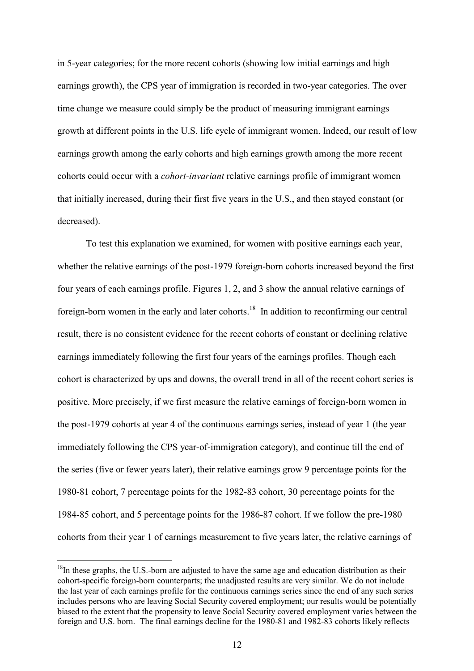in 5-year categories; for the more recent cohorts (showing low initial earnings and high earnings growth), the CPS year of immigration is recorded in two-year categories. The over time change we measure could simply be the product of measuring immigrant earnings growth at different points in the U.S. life cycle of immigrant women. Indeed, our result of low earnings growth among the early cohorts and high earnings growth among the more recent cohorts could occur with a *cohort-invariant* relative earnings profile of immigrant women that initially increased, during their first five years in the U.S., and then stayed constant (or decreased).

To test this explanation we examined, for women with positive earnings each year, whether the relative earnings of the post-1979 foreign-born cohorts increased beyond the first four years of each earnings profile. Figures 1, 2, and 3 show the annual relative earnings of foreign-born women in the early and later cohorts.<sup>18</sup> In addition to reconfirming our central result, there is no consistent evidence for the recent cohorts of constant or declining relative earnings immediately following the first four years of the earnings profiles. Though each cohort is characterized by ups and downs, the overall trend in all of the recent cohort series is positive. More precisely, if we first measure the relative earnings of foreign-born women in the post-1979 cohorts at year 4 of the continuous earnings series, instead of year 1 (the year immediately following the CPS year-of-immigration category), and continue till the end of the series (five or fewer years later), their relative earnings grow 9 percentage points for the 1980-81 cohort, 7 percentage points for the 1982-83 cohort, 30 percentage points for the 1984-85 cohort, and 5 percentage points for the 1986-87 cohort. If we follow the pre-1980 cohorts from their year 1 of earnings measurement to five years later, the relative earnings of

 $18$ In these graphs, the U.S.-born are adjusted to have the same age and education distribution as their cohort-specific foreign-born counterparts; the unadjusted results are very similar. We do not include the last year of each earnings profile for the continuous earnings series since the end of any such series includes persons who are leaving Social Security covered employment; our results would be potentially biased to the extent that the propensity to leave Social Security covered employment varies between the foreign and U.S. born. The final earnings decline for the 1980-81 and 1982-83 cohorts likely reflects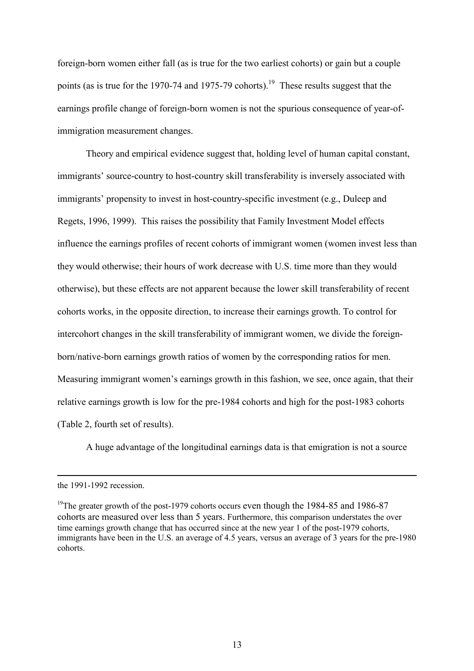foreign-born women either fall (as is true for the two earliest cohorts) or gain but a couple points (as is true for the 1970-74 and 1975-79 cohorts).<sup>19</sup> These results suggest that the earnings profile change of foreign-born women is not the spurious consequence of year-ofimmigration measurement changes.

Theory and empirical evidence suggest that, holding level of human capital constant, immigrants' source-country to host-country skill transferability is inversely associated with immigrants' propensity to invest in host-country-specific investment (e.g., Duleep and Regets, 1996, 1999). This raises the possibility that Family Investment Model effects influence the earnings profiles of recent cohorts of immigrant women (women invest less than they would otherwise; their hours of work decrease with U.S. time more than they would otherwise), but these effects are not apparent because the lower skill transferability of recent cohorts works, in the opposite direction, to increase their earnings growth. To control for intercohort changes in the skill transferability of immigrant women, we divide the foreignborn/native-born earnings growth ratios of women by the corresponding ratios for men. Measuring immigrant women's earnings growth in this fashion, we see, once again, that their relative earnings growth is low for the pre-1984 cohorts and high for the post-1983 cohorts (Table 2, fourth set of results).

A huge advantage of the longitudinal earnings data is that emigration is not a source

the 1991-1992 recession.

<sup>&</sup>lt;sup>19</sup>The greater growth of the post-1979 cohorts occurs even though the 1984-85 and 1986-87 cohorts are measured over less than 5 years. Furthermore, this comparison understates the over time earnings growth change that has occurred since at the new year 1 of the post-1979 cohorts, immigrants have been in the U.S. an average of 4.5 years, versus an average of 3 years for the pre-1980 cohorts.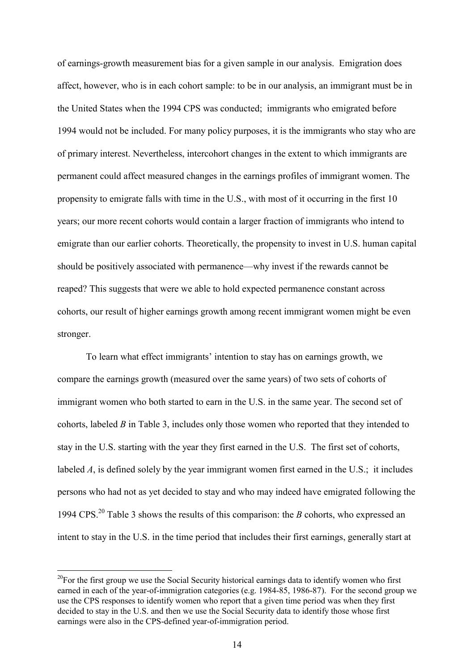of earnings-growth measurement bias for a given sample in our analysis. Emigration does affect, however, who is in each cohort sample: to be in our analysis, an immigrant must be in the United States when the 1994 CPS was conducted; immigrants who emigrated before 1994 would not be included. For many policy purposes, it is the immigrants who stay who are of primary interest. Nevertheless, intercohort changes in the extent to which immigrants are permanent could affect measured changes in the earnings profiles of immigrant women. The propensity to emigrate falls with time in the U.S., with most of it occurring in the first 10 years; our more recent cohorts would contain a larger fraction of immigrants who intend to emigrate than our earlier cohorts. Theoretically, the propensity to invest in U.S. human capital should be positively associated with permanence—why invest if the rewards cannot be reaped? This suggests that were we able to hold expected permanence constant across cohorts, our result of higher earnings growth among recent immigrant women might be even stronger.

To learn what effect immigrants' intention to stay has on earnings growth, we compare the earnings growth (measured over the same years) of two sets of cohorts of immigrant women who both started to earn in the U.S. in the same year. The second set of cohorts, labeled *B* in Table 3, includes only those women who reported that they intended to stay in the U.S. starting with the year they first earned in the U.S. The first set of cohorts, labeled *A*, is defined solely by the year immigrant women first earned in the U.S.; it includes persons who had not as yet decided to stay and who may indeed have emigrated following the 1994 CPS.<sup>20</sup> Table 3 shows the results of this comparison: the *B* cohorts, who expressed an intent to stay in the U.S. in the time period that includes their first earnings, generally start at

 $20$ For the first group we use the Social Security historical earnings data to identify women who first earned in each of the year-of-immigration categories (e.g. 1984-85, 1986-87). For the second group we use the CPS responses to identify women who report that a given time period was when they first decided to stay in the U.S. and then we use the Social Security data to identify those whose first earnings were also in the CPS-defined year-of-immigration period.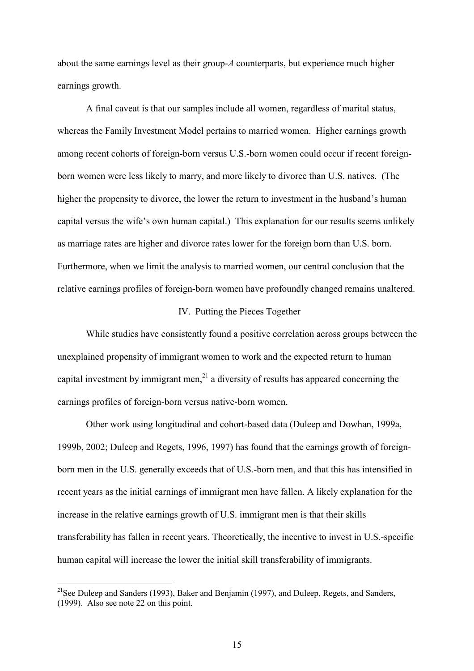about the same earnings level as their group-*A* counterparts, but experience much higher earnings growth.

A final caveat is that our samples include all women, regardless of marital status, whereas the Family Investment Model pertains to married women. Higher earnings growth among recent cohorts of foreign-born versus U.S.-born women could occur if recent foreignborn women were less likely to marry, and more likely to divorce than U.S. natives. (The higher the propensity to divorce, the lower the return to investment in the husband's human capital versus the wife's own human capital.) This explanation for our results seems unlikely as marriage rates are higher and divorce rates lower for the foreign born than U.S. born. Furthermore, when we limit the analysis to married women, our central conclusion that the relative earnings profiles of foreign-born women have profoundly changed remains unaltered.

#### IV. Putting the Pieces Together

While studies have consistently found a positive correlation across groups between the unexplained propensity of immigrant women to work and the expected return to human capital investment by immigrant men, $^{21}$  a diversity of results has appeared concerning the earnings profiles of foreign-born versus native-born women.

Other work using longitudinal and cohort-based data (Duleep and Dowhan, 1999a, 1999b, 2002; Duleep and Regets, 1996, 1997) has found that the earnings growth of foreignborn men in the U.S. generally exceeds that of U.S.-born men, and that this has intensified in recent years as the initial earnings of immigrant men have fallen. A likely explanation for the increase in the relative earnings growth of U.S. immigrant men is that their skills transferability has fallen in recent years. Theoretically, the incentive to invest in U.S.-specific human capital will increase the lower the initial skill transferability of immigrants.

<sup>&</sup>lt;sup>21</sup>See Duleep and Sanders (1993), Baker and Benjamin (1997), and Duleep, Regets, and Sanders, (1999). Also see note 22 on this point.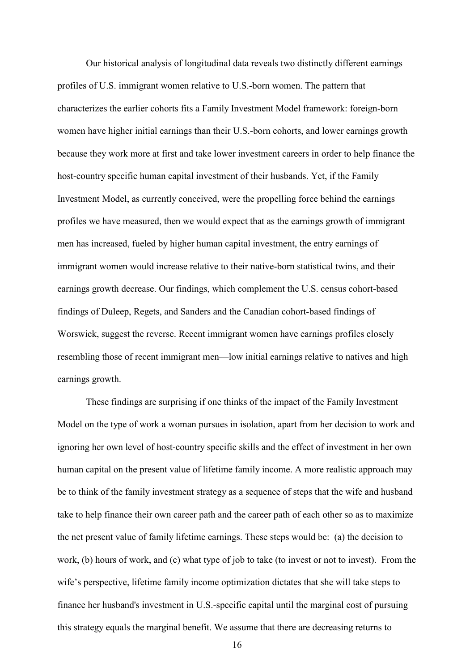Our historical analysis of longitudinal data reveals two distinctly different earnings profiles of U.S. immigrant women relative to U.S.-born women. The pattern that characterizes the earlier cohorts fits a Family Investment Model framework: foreign-born women have higher initial earnings than their U.S.-born cohorts, and lower earnings growth because they work more at first and take lower investment careers in order to help finance the host-country specific human capital investment of their husbands. Yet, if the Family Investment Model, as currently conceived, were the propelling force behind the earnings profiles we have measured, then we would expect that as the earnings growth of immigrant men has increased, fueled by higher human capital investment, the entry earnings of immigrant women would increase relative to their native-born statistical twins, and their earnings growth decrease. Our findings, which complement the U.S. census cohort-based findings of Duleep, Regets, and Sanders and the Canadian cohort-based findings of Worswick, suggest the reverse. Recent immigrant women have earnings profiles closely resembling those of recent immigrant men—low initial earnings relative to natives and high earnings growth.

These findings are surprising if one thinks of the impact of the Family Investment Model on the type of work a woman pursues in isolation, apart from her decision to work and ignoring her own level of host-country specific skills and the effect of investment in her own human capital on the present value of lifetime family income. A more realistic approach may be to think of the family investment strategy as a sequence of steps that the wife and husband take to help finance their own career path and the career path of each other so as to maximize the net present value of family lifetime earnings. These steps would be: (a) the decision to work, (b) hours of work, and (c) what type of job to take (to invest or not to invest). From the wife's perspective, lifetime family income optimization dictates that she will take steps to finance her husband's investment in U.S.-specific capital until the marginal cost of pursuing this strategy equals the marginal benefit. We assume that there are decreasing returns to

16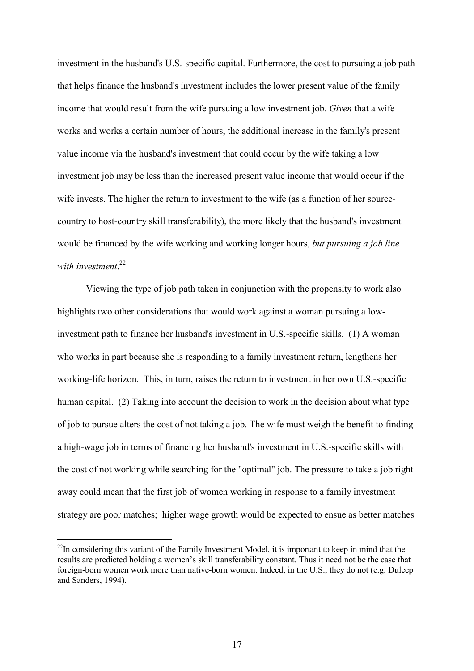investment in the husband's U.S.-specific capital. Furthermore, the cost to pursuing a job path that helps finance the husband's investment includes the lower present value of the family income that would result from the wife pursuing a low investment job. *Given* that a wife works and works a certain number of hours, the additional increase in the family's present value income via the husband's investment that could occur by the wife taking a low investment job may be less than the increased present value income that would occur if the wife invests. The higher the return to investment to the wife (as a function of her sourcecountry to host-country skill transferability), the more likely that the husband's investment would be financed by the wife working and working longer hours, *but pursuing a job line with investment*. 22

Viewing the type of job path taken in conjunction with the propensity to work also highlights two other considerations that would work against a woman pursuing a lowinvestment path to finance her husband's investment in U.S.-specific skills. (1) A woman who works in part because she is responding to a family investment return, lengthens her working-life horizon. This, in turn, raises the return to investment in her own U.S.-specific human capital. (2) Taking into account the decision to work in the decision about what type of job to pursue alters the cost of not taking a job. The wife must weigh the benefit to finding a high-wage job in terms of financing her husband's investment in U.S.-specific skills with the cost of not working while searching for the "optimal" job. The pressure to take a job right away could mean that the first job of women working in response to a family investment strategy are poor matches; higher wage growth would be expected to ensue as better matches

<sup>&</sup>lt;sup>22</sup>In considering this variant of the Family Investment Model, it is important to keep in mind that the results are predicted holding a women's skill transferability constant. Thus it need not be the case that foreign-born women work more than native-born women. Indeed, in the U.S., they do not (e.g. Duleep and Sanders, 1994).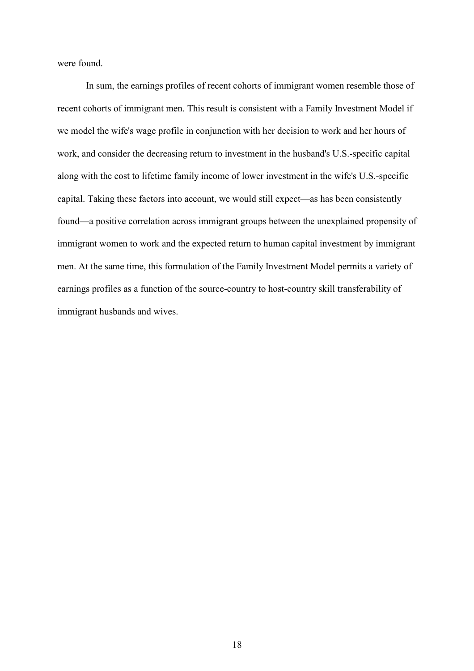were found.

In sum, the earnings profiles of recent cohorts of immigrant women resemble those of recent cohorts of immigrant men. This result is consistent with a Family Investment Model if we model the wife's wage profile in conjunction with her decision to work and her hours of work, and consider the decreasing return to investment in the husband's U.S.-specific capital along with the cost to lifetime family income of lower investment in the wife's U.S.-specific capital. Taking these factors into account, we would still expect—as has been consistently found—a positive correlation across immigrant groups between the unexplained propensity of immigrant women to work and the expected return to human capital investment by immigrant men. At the same time, this formulation of the Family Investment Model permits a variety of earnings profiles as a function of the source-country to host-country skill transferability of immigrant husbands and wives.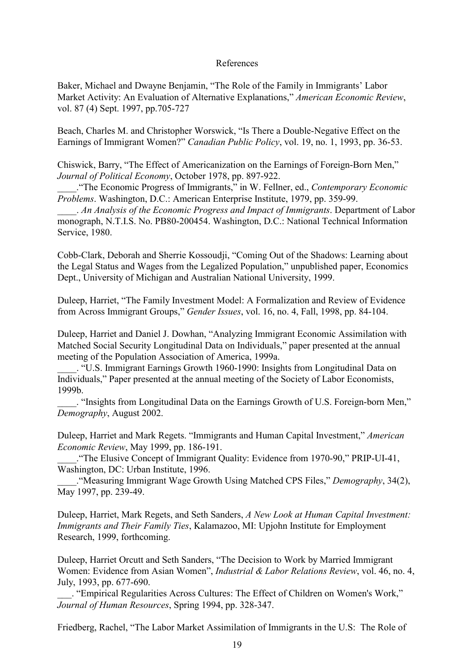#### References

Baker, Michael and Dwayne Benjamin, "The Role of the Family in Immigrants' Labor Market Activity: An Evaluation of Alternative Explanations," *American Economic Review*, vol. 87 (4) Sept. 1997, pp.705-727

Beach, Charles M. and Christopher Worswick, "Is There a Double-Negative Effect on the Earnings of Immigrant Women?" *Canadian Public Policy*, vol. 19, no. 1, 1993, pp. 36-53.

Chiswick, Barry, "The Effect of Americanization on the Earnings of Foreign-Born Men," *Journal of Political Economy*, October 1978, pp. 897-922.

\_\_\_\_."The Economic Progress of Immigrants," in W. Fellner, ed., *Contemporary Economic Problems*. Washington, D.C.: American Enterprise Institute, 1979, pp. 359-99.

\_\_\_\_. *An Analysis of the Economic Progress and Impact of Immigrants*. Department of Labor monograph, N.T.I.S. No. PB80-200454. Washington, D.C.: National Technical Information Service, 1980.

Cobb-Clark, Deborah and Sherrie Kossoudji, "Coming Out of the Shadows: Learning about the Legal Status and Wages from the Legalized Population," unpublished paper, Economics Dept., University of Michigan and Australian National University, 1999.

Duleep, Harriet, "The Family Investment Model: A Formalization and Review of Evidence from Across Immigrant Groups," *Gender Issues*, vol. 16, no. 4, Fall, 1998, pp. 84-104.

Duleep, Harriet and Daniel J. Dowhan, "Analyzing Immigrant Economic Assimilation with Matched Social Security Longitudinal Data on Individuals," paper presented at the annual meeting of the Population Association of America, 1999a.

\_\_\_\_. "U.S. Immigrant Earnings Growth 1960-1990: Insights from Longitudinal Data on Individuals," Paper presented at the annual meeting of the Society of Labor Economists, 1999b.

\_\_\_\_. "Insights from Longitudinal Data on the Earnings Growth of U.S. Foreign-born Men," *Demography*, August 2002.

Duleep, Harriet and Mark Regets. "Immigrants and Human Capital Investment," *American Economic Review*, May 1999, pp. 186-191.

\_\_\_\_."The Elusive Concept of Immigrant Quality: Evidence from 1970-90," PRIP-UI-41, Washington, DC: Urban Institute, 1996.

\_\_\_\_."Measuring Immigrant Wage Growth Using Matched CPS Files," *Demography*, 34(2), May 1997, pp. 239-49.

Duleep, Harriet, Mark Regets, and Seth Sanders, *A New Look at Human Capital Investment: Immigrants and Their Family Ties*, Kalamazoo, MI: Upjohn Institute for Employment Research, 1999, forthcoming.

Duleep, Harriet Orcutt and Seth Sanders, "The Decision to Work by Married Immigrant Women: Evidence from Asian Women", *Industrial & Labor Relations Review*, vol. 46, no. 4, July, 1993, pp. 677-690.

\_\_\_. "Empirical Regularities Across Cultures: The Effect of Children on Women's Work," *Journal of Human Resources*, Spring 1994, pp. 328-347.

Friedberg, Rachel, "The Labor Market Assimilation of Immigrants in the U.S: The Role of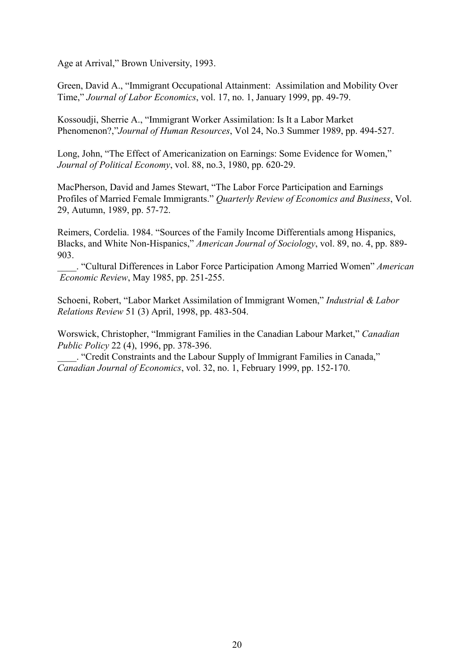Age at Arrival," Brown University, 1993.

Green, David A., "Immigrant Occupational Attainment: Assimilation and Mobility Over Time," *Journal of Labor Economics*, vol. 17, no. 1, January 1999, pp. 49-79.

Kossoudji, Sherrie A., "Immigrant Worker Assimilation: Is It a Labor Market Phenomenon?,"*Journal of Human Resources*, Vol 24, No.3 Summer 1989, pp. 494-527.

Long, John, "The Effect of Americanization on Earnings: Some Evidence for Women," *Journal of Political Economy*, vol. 88, no.3, 1980, pp. 620-29.

MacPherson, David and James Stewart, "The Labor Force Participation and Earnings Profiles of Married Female Immigrants." *Quarterly Review of Economics and Business*, Vol. 29, Autumn, 1989, pp. 57-72.

Reimers, Cordelia. 1984. "Sources of the Family Income Differentials among Hispanics, Blacks, and White Non-Hispanics," *American Journal of Sociology*, vol. 89, no. 4, pp. 889- 903.

\_\_\_\_. "Cultural Differences in Labor Force Participation Among Married Women" *American Economic Review*, May 1985, pp. 251-255.

Schoeni, Robert, "Labor Market Assimilation of Immigrant Women," *Industrial & Labor Relations Review* 51 (3) April, 1998, pp. 483-504.

Worswick, Christopher, "Immigrant Families in the Canadian Labour Market," *Canadian Public Policy* 22 (4), 1996, pp. 378-396.

\_\_\_\_. "Credit Constraints and the Labour Supply of Immigrant Families in Canada," *Canadian Journal of Economics*, vol. 32, no. 1, February 1999, pp. 152-170.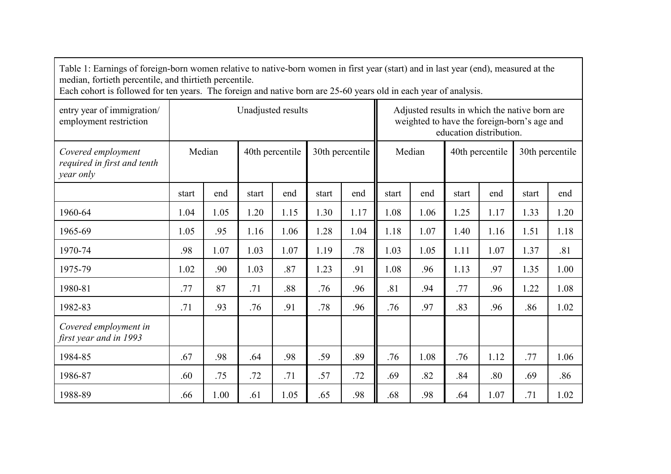| Table 1: Earnings of foreign-born women relative to native-born women in first year (start) and in last year (end), measured at the<br>median, fortieth percentile, and thirtieth percentile.<br>Each cohort is followed for ten years. The foreign and native born are 25-60 years old in each year of analysis. |                                              |      |                    |      |                           |                                                                                                                          |       |                 |       |      |       |      |
|-------------------------------------------------------------------------------------------------------------------------------------------------------------------------------------------------------------------------------------------------------------------------------------------------------------------|----------------------------------------------|------|--------------------|------|---------------------------|--------------------------------------------------------------------------------------------------------------------------|-------|-----------------|-------|------|-------|------|
| entry year of immigration/<br>employment restriction                                                                                                                                                                                                                                                              |                                              |      | Unadjusted results |      |                           | Adjusted results in which the native born are.<br>weighted to have the foreign-born's age and<br>education distribution. |       |                 |       |      |       |      |
| Covered employment<br>required in first and tenth<br>year only                                                                                                                                                                                                                                                    | Median<br>40th percentile<br>30th percentile |      |                    |      | Median<br>40th percentile |                                                                                                                          |       | 30th percentile |       |      |       |      |
|                                                                                                                                                                                                                                                                                                                   | start                                        | end  | start              | end  | start                     | end                                                                                                                      | start | end             | start | end  | start | end  |
| 1960-64                                                                                                                                                                                                                                                                                                           | 1.04                                         | 1.05 | 1.20               | 1.15 | 1.30                      | 1.17                                                                                                                     | 1.08  | 1.06            | 1.25  | 1.17 | 1.33  | 1.20 |
| 1965-69                                                                                                                                                                                                                                                                                                           | 1.05                                         | .95  | 1.16               | 1.06 | 1.28                      | 1.04                                                                                                                     | 1.18  | 1.07            | 1.40  | 1.16 | 1.51  | 1.18 |
| 1970-74                                                                                                                                                                                                                                                                                                           | .98                                          | 1.07 | 1.03               | 1.07 | 1.19                      | .78                                                                                                                      | 1.03  | 1.05            | 1.11  | 1.07 | 1.37  | .81  |
| 1975-79                                                                                                                                                                                                                                                                                                           | 1.02                                         | .90  | 1.03               | .87  | 1.23                      | .91                                                                                                                      | 1.08  | .96             | 1.13  | .97  | 1.35  | 1.00 |
| 1980-81                                                                                                                                                                                                                                                                                                           | .77                                          | 87   | .71                | .88  | .76                       | .96                                                                                                                      | .81   | .94             | .77   | .96  | 1.22  | 1.08 |
| 1982-83                                                                                                                                                                                                                                                                                                           | .71                                          | .93  | .76                | .91  | .78                       | .96                                                                                                                      | .76   | .97             | .83   | .96  | .86   | 1.02 |
| Covered employment in<br>first year and in 1993                                                                                                                                                                                                                                                                   |                                              |      |                    |      |                           |                                                                                                                          |       |                 |       |      |       |      |
| 1984-85                                                                                                                                                                                                                                                                                                           | .67                                          | .98  | .64                | .98  | .59                       | .89                                                                                                                      | .76   | 1.08            | .76   | 1.12 | .77   | 1.06 |
| 1986-87                                                                                                                                                                                                                                                                                                           | .60                                          | .75  | .72                | .71  | .57                       | .72                                                                                                                      | .69   | .82             | .84   | .80  | .69   | .86  |
| 1988-89                                                                                                                                                                                                                                                                                                           | .66                                          | 1.00 | .61                | 1.05 | .65                       | .98                                                                                                                      | .68   | .98             | .64   | 1.07 | .71   | 1.02 |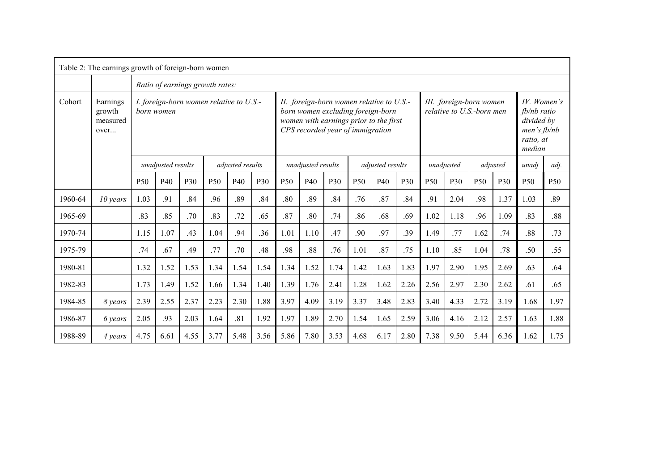| Table 2: The earnings growth of foreign-born women |                                        |                                                       |                                 |      |                 |                                                                                                                                                             |      |                                        |      |      |                                                      |      |      |                 |                                                                                    |            |       |                 |                 |
|----------------------------------------------------|----------------------------------------|-------------------------------------------------------|---------------------------------|------|-----------------|-------------------------------------------------------------------------------------------------------------------------------------------------------------|------|----------------------------------------|------|------|------------------------------------------------------|------|------|-----------------|------------------------------------------------------------------------------------|------------|-------|-----------------|-----------------|
|                                                    |                                        |                                                       | Ratio of earnings growth rates: |      |                 |                                                                                                                                                             |      |                                        |      |      |                                                      |      |      |                 |                                                                                    |            |       |                 |                 |
| Cohort                                             | Earnings<br>growth<br>measured<br>over | I. foreign-born women relative to U.S.-<br>born women |                                 |      |                 | II. foreign-born women relative to U.S.-<br>born women excluding foreign-born<br>women with earnings prior to the first<br>CPS recorded year of immigration |      |                                        |      |      | III. foreign-born women<br>relative to U.S.-born men |      |      |                 | $IV.$ Women's<br>$fb/nb$ ratio<br>divided by<br>men's fb/nb<br>ratio, at<br>median |            |       |                 |                 |
|                                                    |                                        |                                                       | unadjusted results              |      |                 | adjusted results                                                                                                                                            |      | unadjusted results<br>adjusted results |      |      |                                                      |      |      | unadjusted      |                                                                                    | adjusted   | unadi | adj.            |                 |
|                                                    |                                        | <b>P50</b>                                            | P40                             | P30  | P <sub>50</sub> | P40                                                                                                                                                         | P30  | P <sub>50</sub>                        | P40  | P30  | P <sub>50</sub>                                      | P40  | P30  | P <sub>50</sub> | P30                                                                                | <b>P50</b> | P30   | P <sub>50</sub> | P <sub>50</sub> |
| 1960-64                                            | $10$ years                             | 1.03                                                  | .91                             | .84  | .96             | .89                                                                                                                                                         | .84  | .80                                    | .89  | .84  | .76                                                  | .87  | .84  | .91             | 2.04                                                                               | .98        | 1.37  | 1.03            | .89             |
| 1965-69                                            |                                        | .83                                                   | .85                             | .70  | .83             | .72                                                                                                                                                         | .65  | .87                                    | .80  | .74  | .86                                                  | .68  | .69  | 1.02            | 1.18                                                                               | .96        | 1.09  | .83             | .88             |
| 1970-74                                            |                                        | 1.15                                                  | 1.07                            | .43  | 1.04            | .94                                                                                                                                                         | .36  | 1.01                                   | 1.10 | .47  | .90                                                  | .97  | .39  | 1.49            | .77                                                                                | 1.62       | .74   | .88             | .73             |
| 1975-79                                            |                                        | .74                                                   | .67                             | .49  | .77             | .70                                                                                                                                                         | .48  | .98                                    | .88  | .76  | 1.01                                                 | .87  | .75  | 1.10            | .85                                                                                | 1.04       | .78   | .50             | .55             |
| 1980-81                                            |                                        | 1.32                                                  | 1.52                            | 1.53 | 1.34            | 1.54                                                                                                                                                        | 1.54 | 1.34                                   | 1.52 | 1.74 | 1.42                                                 | 1.63 | 1.83 | 1.97            | 2.90                                                                               | 1.95       | 2.69  | .63             | .64             |
| 1982-83                                            |                                        | 1.73                                                  | 1.49                            | 1.52 | 1.66            | 1.34                                                                                                                                                        | 1.40 | 1.39                                   | 1.76 | 2.41 | 1.28                                                 | 1.62 | 2.26 | 2.56            | 2.97                                                                               | 2.30       | 2.62  | .61             | .65             |
| 1984-85                                            | 8 years                                | 2.39                                                  | 2.55                            | 2.37 | 2.23            | 2.30                                                                                                                                                        | 1.88 | 3.97                                   | 4.09 | 3.19 | 3.37                                                 | 3.48 | 2.83 | 3.40            | 4.33                                                                               | 2.72       | 3.19  | 1.68            | 1.97            |
| 1986-87                                            | 6 years                                | 2.05                                                  | .93                             | 2.03 | 1.64            | .81                                                                                                                                                         | 1.92 | 1.97                                   | 1.89 | 2.70 | 1.54                                                 | 1.65 | 2.59 | 3.06            | 4.16                                                                               | 2.12       | 2.57  | 1.63            | 1.88            |
| 1988-89                                            | 4 years                                | 4.75                                                  | 6.61                            | 4.55 | 3.77            | 5.48                                                                                                                                                        | 3.56 | 5.86                                   | 7.80 | 3.53 | 4.68                                                 | 6.17 | 2.80 | 7.38            | 9.50                                                                               | 5.44       | 6.36  | 1.62            | 1.75            |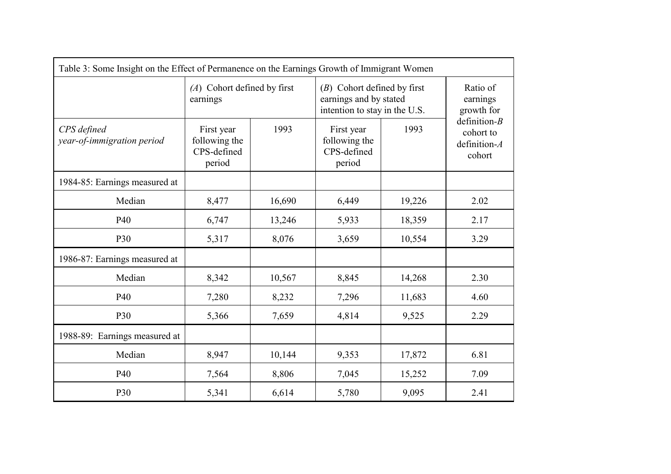| Table 3: Some Insight on the Effect of Permanence on the Earnings Growth of Immigrant Women |                                                      |        |                                                                                          |                                    |                                                           |  |
|---------------------------------------------------------------------------------------------|------------------------------------------------------|--------|------------------------------------------------------------------------------------------|------------------------------------|-----------------------------------------------------------|--|
|                                                                                             | $(A)$ Cohort defined by first<br>earnings            |        | $(B)$ Cohort defined by first<br>earnings and by stated<br>intention to stay in the U.S. | Ratio of<br>earnings<br>growth for |                                                           |  |
| CPS defined<br>year-of-immigration period                                                   | First year<br>following the<br>CPS-defined<br>period | 1993   | First year<br>following the<br>CPS-defined<br>period                                     | 1993                               | definition- $B$<br>cohort to<br>definition- $A$<br>cohort |  |
| 1984-85: Earnings measured at                                                               |                                                      |        |                                                                                          |                                    |                                                           |  |
| Median                                                                                      | 8,477                                                | 16,690 | 6,449                                                                                    | 19,226                             | 2.02                                                      |  |
| P40                                                                                         | 6,747                                                | 13,246 | 5,933                                                                                    | 18,359                             | 2.17                                                      |  |
| P30                                                                                         | 5,317                                                | 8,076  | 3,659                                                                                    | 10,554                             | 3.29                                                      |  |
| 1986-87: Earnings measured at                                                               |                                                      |        |                                                                                          |                                    |                                                           |  |
| Median                                                                                      | 8,342                                                | 10,567 | 8,845                                                                                    | 14,268                             | 2.30                                                      |  |
| P40                                                                                         | 7,280                                                | 8,232  | 7,296                                                                                    | 11,683                             | 4.60                                                      |  |
| P30                                                                                         | 5,366                                                | 7,659  | 4,814                                                                                    | 9,525                              | 2.29                                                      |  |
| 1988-89: Earnings measured at                                                               |                                                      |        |                                                                                          |                                    |                                                           |  |
| Median                                                                                      | 8,947                                                | 10,144 | 9,353                                                                                    | 17,872                             | 6.81                                                      |  |
| P40                                                                                         | 7,564                                                | 8,806  | 7,045                                                                                    | 15,252                             | 7.09                                                      |  |
| P30                                                                                         | 5,341                                                | 6,614  | 5,780                                                                                    | 9,095                              | 2.41                                                      |  |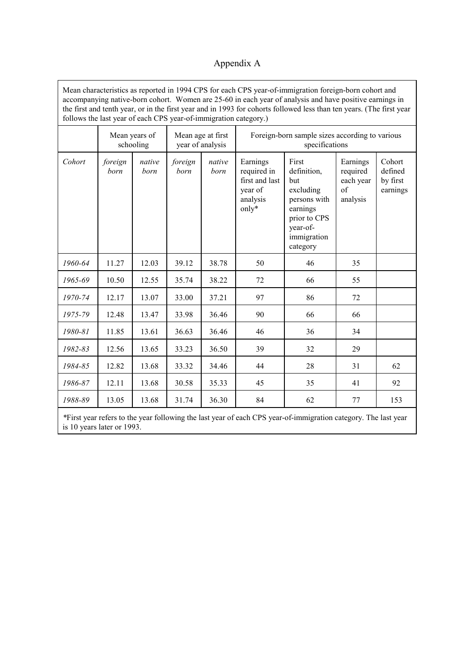### Appendix A

Mean characteristics as reported in 1994 CPS for each CPS year-of-immigration foreign-born cohort and accompanying native-born cohort. Women are 25-60 in each year of analysis and have positive earnings in the first and tenth year, or in the first year and in 1993 for cohorts followed less than ten years. (The first year follows the last year of each CPS year-of-immigration category.)

|                                                                                                                |                 | Mean years of<br>schooling |                 | Foreign-born sample sizes according to various<br>Mean age at first<br>year of analysis<br>specifications |                                                                           |                                                                                                                             |                                                     |                                           |  |
|----------------------------------------------------------------------------------------------------------------|-----------------|----------------------------|-----------------|-----------------------------------------------------------------------------------------------------------|---------------------------------------------------------------------------|-----------------------------------------------------------------------------------------------------------------------------|-----------------------------------------------------|-------------------------------------------|--|
| Cohort                                                                                                         | foreign<br>born | native<br>born             | foreign<br>born | native<br>born                                                                                            | Earnings<br>required in<br>first and last<br>year of<br>analysis<br>only* | First<br>definition,<br>but<br>excluding<br>persons with<br>earnings<br>prior to CPS<br>year-of-<br>immigration<br>category | Earnings<br>required<br>each year<br>of<br>analysis | Cohort<br>defined<br>by first<br>earnings |  |
| 1960-64                                                                                                        | 11.27           | 12.03                      | 39.12           | 38.78                                                                                                     | 50                                                                        | 46                                                                                                                          | 35                                                  |                                           |  |
| 1965-69                                                                                                        | 10.50           | 12.55                      | 35.74           | 38.22                                                                                                     | 72                                                                        | 66                                                                                                                          | 55                                                  |                                           |  |
| 1970-74                                                                                                        | 12.17           | 13.07                      | 33.00           | 37.21                                                                                                     | 97                                                                        | 86                                                                                                                          | 72                                                  |                                           |  |
| 1975-79                                                                                                        | 12.48           | 13.47                      | 33.98           | 36.46                                                                                                     | 90                                                                        | 66                                                                                                                          | 66                                                  |                                           |  |
| 1980-81                                                                                                        | 11.85           | 13.61                      | 36.63           | 36.46                                                                                                     | 46                                                                        | 36                                                                                                                          | 34                                                  |                                           |  |
| 1982-83                                                                                                        | 12.56           | 13.65                      | 33.23           | 36.50                                                                                                     | 39                                                                        | 32                                                                                                                          | 29                                                  |                                           |  |
| 1984-85                                                                                                        | 12.82           | 13.68                      | 33.32           | 34.46                                                                                                     | 44                                                                        | 28                                                                                                                          | 31                                                  | 62                                        |  |
| 1986-87                                                                                                        | 12.11           | 13.68                      | 30.58           | 35.33                                                                                                     | 45                                                                        | 35                                                                                                                          | 41                                                  | 92                                        |  |
| 1988-89                                                                                                        | 13.05           | 13.68                      | 31.74           | 36.30                                                                                                     | 84                                                                        | 62                                                                                                                          | 77                                                  | 153                                       |  |
| *First year refers to the year following the last year of each CPS year-of-immigration category. The last year |                 |                            |                 |                                                                                                           |                                                                           |                                                                                                                             |                                                     |                                           |  |

is 10 years later or 1993.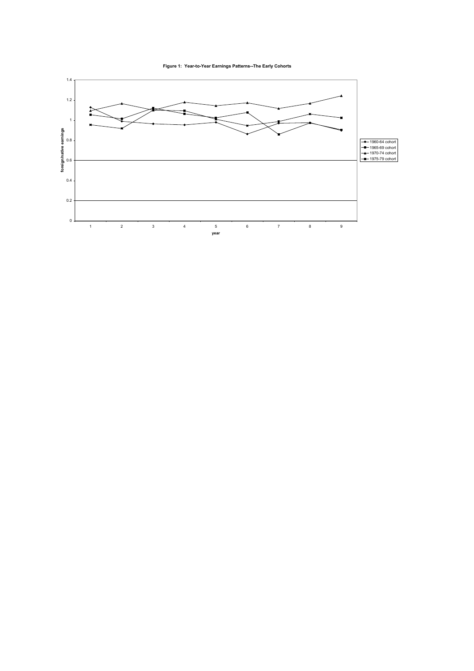**Figure 1: Year-to-Year Earnings Patterns--The Early Cohorts**

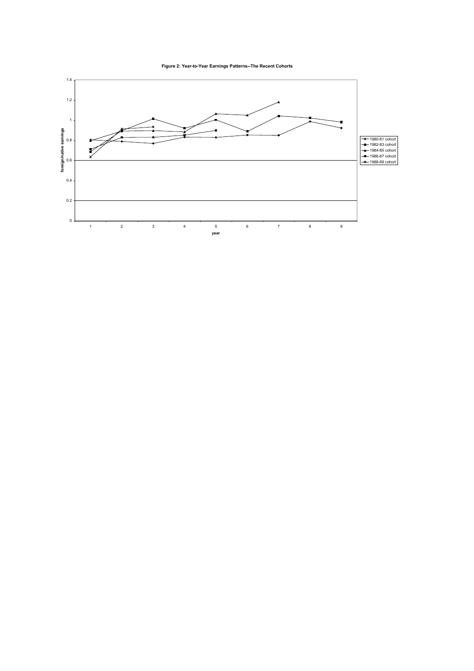**Figure 2: Year-to-Year Earnings Patterns--The Recent Cohorts**

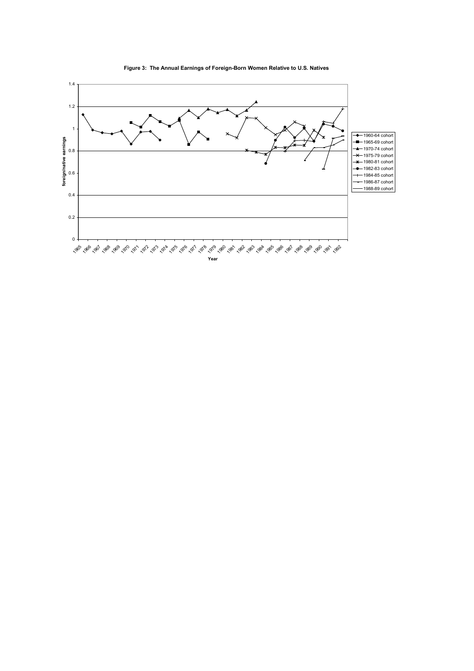

**Figure 3: The Annual Earnings of Foreign-Born Women Relative to U.S. Natives**